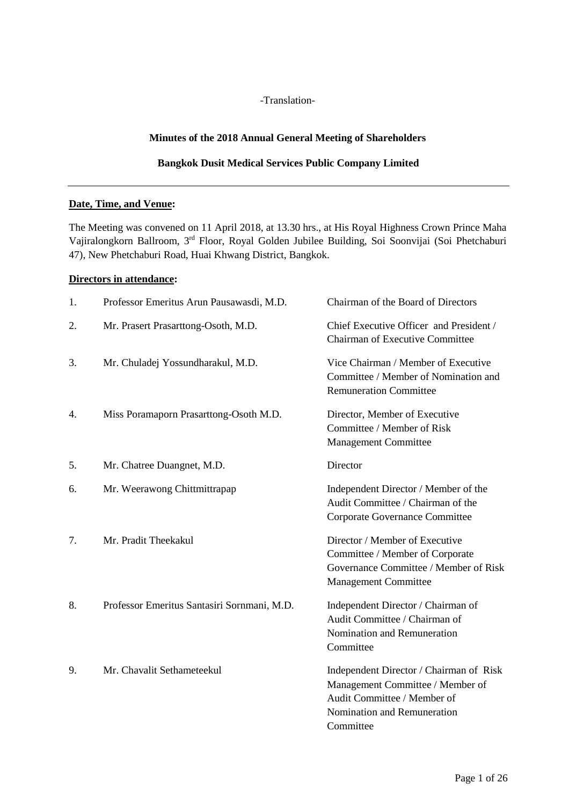-Translation-

# **Minutes of the 2018 Annual General Meeting of Shareholders**

### **Bangkok Dusit Medical Services Public Company Limited**

### **Date, Time, and Venue:**

The Meeting was convened on 11 April 2018, at 13.30 hrs., at His Royal Highness Crown Prince Maha Vajiralongkorn Ballroom, 3rd Floor, Royal Golden Jubilee Building, Soi Soonvijai (Soi Phetchaburi 47), New Phetchaburi Road, Huai Khwang District, Bangkok.

### **Directors in attendance:**

| 1. | Professor Emeritus Arun Pausawasdi, M.D.    | Chairman of the Board of Directors                                                                                                                     |
|----|---------------------------------------------|--------------------------------------------------------------------------------------------------------------------------------------------------------|
| 2. | Mr. Prasert Prasarttong-Osoth, M.D.         | Chief Executive Officer and President /<br><b>Chairman of Executive Committee</b>                                                                      |
| 3. | Mr. Chuladej Yossundharakul, M.D.           | Vice Chairman / Member of Executive<br>Committee / Member of Nomination and<br><b>Remuneration Committee</b>                                           |
| 4. | Miss Poramaporn Prasarttong-Osoth M.D.      | Director, Member of Executive<br>Committee / Member of Risk<br><b>Management Committee</b>                                                             |
| 5. | Mr. Chatree Duangnet, M.D.                  | Director                                                                                                                                               |
| 6. | Mr. Weerawong Chittmittrapap                | Independent Director / Member of the<br>Audit Committee / Chairman of the<br>Corporate Governance Committee                                            |
| 7. | Mr. Pradit Theekakul                        | Director / Member of Executive<br>Committee / Member of Corporate<br>Governance Committee / Member of Risk<br><b>Management Committee</b>              |
| 8. | Professor Emeritus Santasiri Sornmani, M.D. | Independent Director / Chairman of<br>Audit Committee / Chairman of<br>Nomination and Remuneration<br>Committee                                        |
| 9. | Mr. Chavalit Sethameteekul                  | Independent Director / Chairman of Risk<br>Management Committee / Member of<br>Audit Committee / Member of<br>Nomination and Remuneration<br>Committee |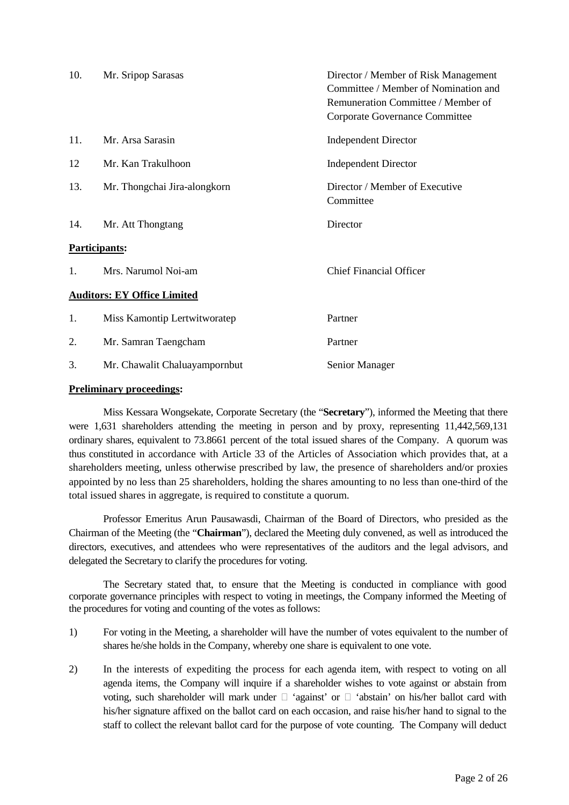| 10. | Mr. Sripop Sarasas                 | Director / Member of Risk Management<br>Committee / Member of Nomination and<br>Remuneration Committee / Member of<br>Corporate Governance Committee |
|-----|------------------------------------|------------------------------------------------------------------------------------------------------------------------------------------------------|
| 11. | Mr. Arsa Sarasin                   | <b>Independent Director</b>                                                                                                                          |
| 12  | Mr. Kan Trakulhoon                 | <b>Independent Director</b>                                                                                                                          |
| 13. | Mr. Thongchai Jira-alongkorn       | Director / Member of Executive<br>Committee                                                                                                          |
| 14. | Mr. Att Thongtang                  | Director                                                                                                                                             |
|     | Participants:                      |                                                                                                                                                      |
| 1.  | Mrs. Narumol Noi-am                | <b>Chief Financial Officer</b>                                                                                                                       |
|     | <b>Auditors: EY Office Limited</b> |                                                                                                                                                      |
| 1.  | Miss Kamontip Lertwitworatep       | Partner                                                                                                                                              |
| 2.  | Mr. Samran Taengcham               | Partner                                                                                                                                              |
| 3.  | Mr. Chawalit Chaluayampornbut      | Senior Manager                                                                                                                                       |

### **Preliminary proceedings:**

 Miss Kessara Wongsekate, Corporate Secretary (the "**Secretary**"), informed the Meeting that there were 1,631 shareholders attending the meeting in person and by proxy, representing 11,442,569,131 ordinary shares, equivalent to 73.8661 percent of the total issued shares of the Company. A quorum was thus constituted in accordance with Article 33 of the Articles of Association which provides that, at a shareholders meeting, unless otherwise prescribed by law, the presence of shareholders and/or proxies appointed by no less than 25 shareholders, holding the shares amounting to no less than one-third of the total issued shares in aggregate, is required to constitute a quorum.

 Professor Emeritus Arun Pausawasdi, Chairman of the Board of Directors, who presided as the Chairman of the Meeting (the "**Chairman**"), declared the Meeting duly convened, as well as introduced the directors, executives, and attendees who were representatives of the auditors and the legal advisors, and delegated the Secretary to clarify the procedures for voting.

The Secretary stated that, to ensure that the Meeting is conducted in compliance with good corporate governance principles with respect to voting in meetings, the Company informed the Meeting of the procedures for voting and counting of the votes as follows:

- 1) For voting in the Meeting, a shareholder will have the number of votes equivalent to the number of shares he/she holds in the Company, whereby one share is equivalent to one vote.
- 2) In the interests of expediting the process for each agenda item, with respect to voting on all agenda items, the Company will inquire if a shareholder wishes to vote against or abstain from voting, such shareholder will mark under 'against' or 'abstain' on his/her ballot card with his/her signature affixed on the ballot card on each occasion, and raise his/her hand to signal to the staff to collect the relevant ballot card for the purpose of vote counting. The Company will deduct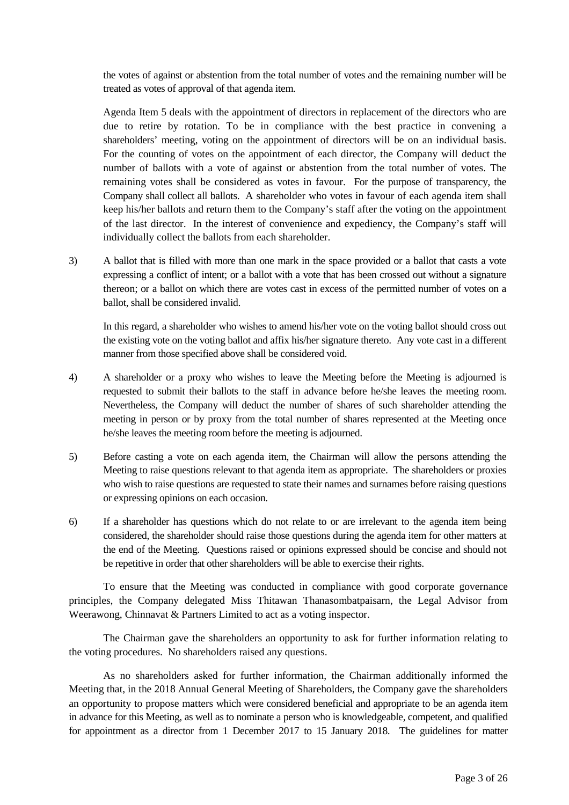the votes of against or abstention from the total number of votes and the remaining number will be treated as votes of approval of that agenda item.

Agenda Item 5 deals with the appointment of directors in replacement of the directors who are due to retire by rotation. To be in compliance with the best practice in convening a shareholders' meeting, voting on the appointment of directors will be on an individual basis. For the counting of votes on the appointment of each director, the Company will deduct the number of ballots with a vote of against or abstention from the total number of votes. The remaining votes shall be considered as votes in favour. For the purpose of transparency, the Company shall collect all ballots. A shareholder who votes in favour of each agenda item shall keep his/her ballots and return them to the Company's staff after the voting on the appointment of the last director. In the interest of convenience and expediency, the Company's staff will individually collect the ballots from each shareholder.

3) A ballot that is filled with more than one mark in the space provided or a ballot that casts a vote expressing a conflict of intent; or a ballot with a vote that has been crossed out without a signature thereon; or a ballot on which there are votes cast in excess of the permitted number of votes on a ballot, shall be considered invalid.

In this regard, a shareholder who wishes to amend his/her vote on the voting ballot should cross out the existing vote on the voting ballot and affix his/her signature thereto. Any vote cast in a different manner from those specified above shall be considered void.

- 4) A shareholder or a proxy who wishes to leave the Meeting before the Meeting is adjourned is requested to submit their ballots to the staff in advance before he/she leaves the meeting room. Nevertheless, the Company will deduct the number of shares of such shareholder attending the meeting in person or by proxy from the total number of shares represented at the Meeting once he/she leaves the meeting room before the meeting is adjourned.
- 5) Before casting a vote on each agenda item, the Chairman will allow the persons attending the Meeting to raise questions relevant to that agenda item as appropriate. The shareholders or proxies who wish to raise questions are requested to state their names and surnames before raising questions or expressing opinions on each occasion.
- 6) If a shareholder has questions which do not relate to or are irrelevant to the agenda item being considered, the shareholder should raise those questions during the agenda item for other matters at the end of the Meeting. Questions raised or opinions expressed should be concise and should not be repetitive in order that other shareholders will be able to exercise their rights.

 To ensure that the Meeting was conducted in compliance with good corporate governance principles, the Company delegated Miss Thitawan Thanasombatpaisarn, the Legal Advisor from Weerawong, Chinnavat & Partners Limited to act as a voting inspector.

 The Chairman gave the shareholders an opportunity to ask for further information relating to the voting procedures. No shareholders raised any questions.

 As no shareholders asked for further information, the Chairman additionally informed the Meeting that, in the 2018 Annual General Meeting of Shareholders, the Company gave the shareholders an opportunity to propose matters which were considered beneficial and appropriate to be an agenda item in advance for this Meeting, as well as to nominate a person who is knowledgeable, competent, and qualified for appointment as a director from 1 December 2017 to 15 January 2018. The guidelines for matter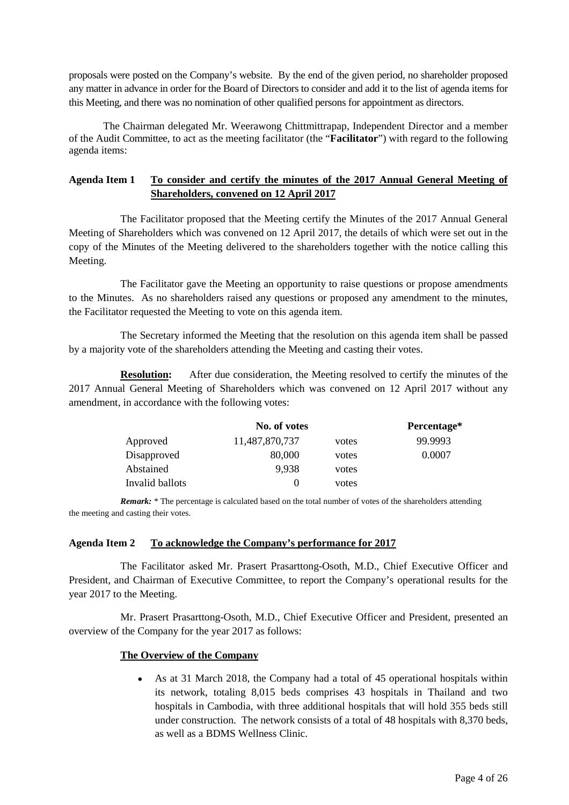proposals were posted on the Company's website. By the end of the given period, no shareholder proposed any matter in advance in order for the Board of Directors to consider and add it to the list of agenda items for this Meeting, and there was no nomination of other qualified persons for appointment as directors.

The Chairman delegated Mr. Weerawong Chittmittrapap, Independent Director and a member of the Audit Committee, to act as the meeting facilitator (the "**Facilitator**") with regard to the following agenda items:

# **Agenda Item 1 To consider and certify the minutes of the 2017 Annual General Meeting of Shareholders, convened on 12 April 2017**

 The Facilitator proposed that the Meeting certify the Minutes of the 2017 Annual General Meeting of Shareholders which was convened on 12 April 2017, the details of which were set out in the copy of the Minutes of the Meeting delivered to the shareholders together with the notice calling this Meeting.

 The Facilitator gave the Meeting an opportunity to raise questions or propose amendments to the Minutes. As no shareholders raised any questions or proposed any amendment to the minutes, the Facilitator requested the Meeting to vote on this agenda item.

 The Secretary informed the Meeting that the resolution on this agenda item shall be passed by a majority vote of the shareholders attending the Meeting and casting their votes.

**Resolution:** After due consideration, the Meeting resolved to certify the minutes of the 2017 Annual General Meeting of Shareholders which was convened on 12 April 2017 without any amendment, in accordance with the following votes:

|                 | No. of votes   | Percentage* |         |
|-----------------|----------------|-------------|---------|
| Approved        | 11,487,870,737 | votes       | 99.9993 |
| Disapproved     | 80,000         | votes       | 0.0007  |
| Abstained       | 9,938          | votes       |         |
| Invalid ballots | 0              | votes       |         |

*Remark:* \* The percentage is calculated based on the total number of votes of the shareholders attending the meeting and casting their votes.

### **Agenda Item 2 To acknowledge the Company's performance for 2017**

 The Facilitator asked Mr. Prasert Prasarttong-Osoth, M.D., Chief Executive Officer and President, and Chairman of Executive Committee, to report the Company's operational results for the year 2017 to the Meeting.

Mr. Prasert Prasarttong-Osoth, M.D., Chief Executive Officer and President, presented an overview of the Company for the year 2017 as follows:

### **The Overview of the Company**

• As at 31 March 2018, the Company had a total of 45 operational hospitals within its network, totaling 8,015 beds comprises 43 hospitals in Thailand and two hospitals in Cambodia, with three additional hospitals that will hold 355 beds still under construction. The network consists of a total of 48 hospitals with 8,370 beds, as well as a BDMS Wellness Clinic.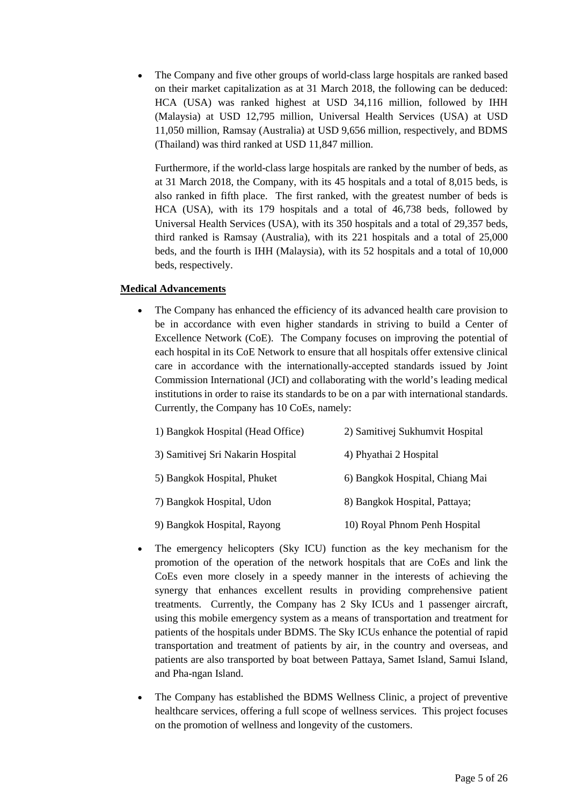• The Company and five other groups of world-class large hospitals are ranked based on their market capitalization as at 31 March 2018, the following can be deduced: HCA (USA) was ranked highest at USD 34,116 million, followed by IHH (Malaysia) at USD 12,795 million, Universal Health Services (USA) at USD 11,050 million, Ramsay (Australia) at USD 9,656 million, respectively, and BDMS (Thailand) was third ranked at USD 11,847 million.

Furthermore, if the world-class large hospitals are ranked by the number of beds, as at 31 March 2018, the Company, with its 45 hospitals and a total of 8,015 beds, is also ranked in fifth place. The first ranked, with the greatest number of beds is HCA (USA), with its 179 hospitals and a total of 46,738 beds, followed by Universal Health Services (USA), with its 350 hospitals and a total of 29,357 beds, third ranked is Ramsay (Australia), with its 221 hospitals and a total of 25,000 beds, and the fourth is IHH (Malaysia), with its 52 hospitals and a total of 10,000 beds, respectively.

### **Medical Advancements**

• The Company has enhanced the efficiency of its advanced health care provision to be in accordance with even higher standards in striving to build a Center of Excellence Network (CoE). The Company focuses on improving the potential of each hospital in its CoE Network to ensure that all hospitals offer extensive clinical care in accordance with the internationally-accepted standards issued by Joint Commission International (JCI) and collaborating with the world's leading medical institutions in order to raise its standards to be on a par with international standards. Currently, the Company has 10 CoEs, namely:

| 1) Bangkok Hospital (Head Office) | 2) Samitivej Sukhumvit Hospital |
|-----------------------------------|---------------------------------|
| 3) Samitivej Sri Nakarin Hospital | 4) Phyathai 2 Hospital          |
| 5) Bangkok Hospital, Phuket       | 6) Bangkok Hospital, Chiang Mai |
| 7) Bangkok Hospital, Udon         | 8) Bangkok Hospital, Pattaya;   |
| 9) Bangkok Hospital, Rayong       | 10) Royal Phnom Penh Hospital   |

- The emergency helicopters (Sky ICU) function as the key mechanism for the promotion of the operation of the network hospitals that are CoEs and link the CoEs even more closely in a speedy manner in the interests of achieving the synergy that enhances excellent results in providing comprehensive patient treatments. Currently, the Company has 2 Sky ICUs and 1 passenger aircraft, using this mobile emergency system as a means of transportation and treatment for patients of the hospitals under BDMS. The Sky ICUs enhance the potential of rapid transportation and treatment of patients by air, in the country and overseas, and patients are also transported by boat between Pattaya, Samet Island, Samui Island, and Pha-ngan Island.
- The Company has established the BDMS Wellness Clinic, a project of preventive healthcare services, offering a full scope of wellness services. This project focuses on the promotion of wellness and longevity of the customers.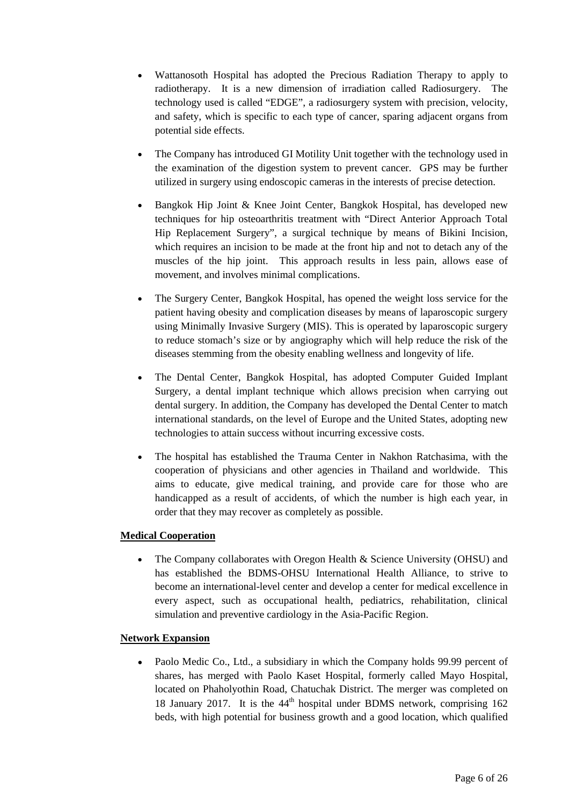- Wattanosoth Hospital has adopted the Precious Radiation Therapy to apply to radiotherapy. It is a new dimension of irradiation called Radiosurgery. The technology used is called "EDGE", a radiosurgery system with precision, velocity, and safety, which is specific to each type of cancer, sparing adjacent organs from potential side effects.
- The Company has introduced GI Motility Unit together with the technology used in the examination of the digestion system to prevent cancer. GPS may be further utilized in surgery using endoscopic cameras in the interests of precise detection.
- Bangkok Hip Joint & Knee Joint Center, Bangkok Hospital, has developed new techniques for hip osteoarthritis treatment with "Direct Anterior Approach Total Hip Replacement Surgery", a surgical technique by means of Bikini Incision, which requires an incision to be made at the front hip and not to detach any of the muscles of the hip joint. This approach results in less pain, allows ease of movement, and involves minimal complications.
- The Surgery Center, Bangkok Hospital, has opened the weight loss service for the patient having obesity and complication diseases by means of laparoscopic surgery using Minimally Invasive Surgery (MIS). This is operated by laparoscopic surgery to reduce stomach's size or by angiography which will help reduce the risk of the diseases stemming from the obesity enabling wellness and longevity of life.
- The Dental Center, Bangkok Hospital, has adopted Computer Guided Implant Surgery, a dental implant technique which allows precision when carrying out dental surgery. In addition, the Company has developed the Dental Center to match international standards, on the level of Europe and the United States, adopting new technologies to attain success without incurring excessive costs.
- The hospital has established the Trauma Center in Nakhon Ratchasima, with the cooperation of physicians and other agencies in Thailand and worldwide. This aims to educate, give medical training, and provide care for those who are handicapped as a result of accidents, of which the number is high each year, in order that they may recover as completely as possible.

# **Medical Cooperation**

• The Company collaborates with Oregon Health & Science University (OHSU) and has established the BDMS-OHSU International Health Alliance, to strive to become an international-level center and develop a center for medical excellence in every aspect, such as occupational health, pediatrics, rehabilitation, clinical simulation and preventive cardiology in the Asia-Pacific Region.

### **Network Expansion**

• Paolo Medic Co., Ltd., a subsidiary in which the Company holds 99.99 percent of shares, has merged with Paolo Kaset Hospital, formerly called Mayo Hospital, located on Phaholyothin Road, Chatuchak District. The merger was completed on 18 January 2017. It is the  $44<sup>th</sup>$  hospital under BDMS network, comprising 162 beds, with high potential for business growth and a good location, which qualified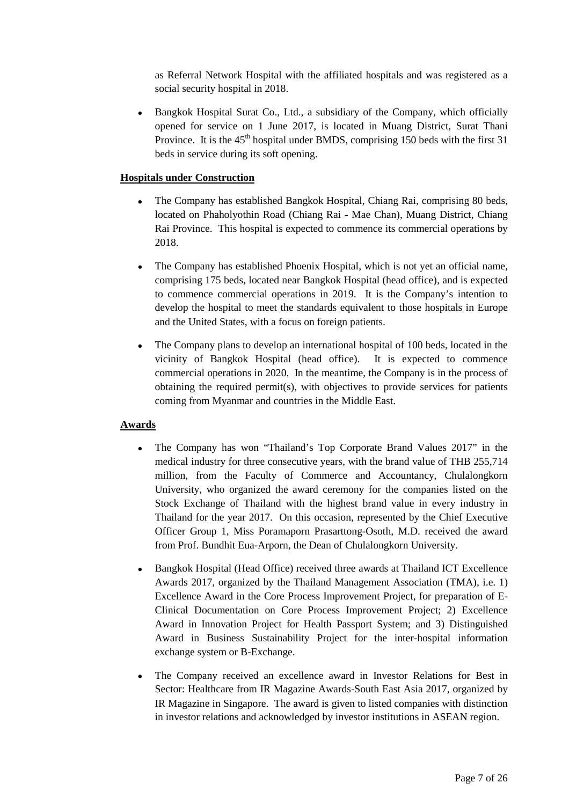as Referral Network Hospital with the affiliated hospitals and was registered as a social security hospital in 2018.

• Bangkok Hospital Surat Co., Ltd., a subsidiary of the Company, which officially opened for service on 1 June 2017, is located in Muang District, Surat Thani Province. It is the  $45<sup>th</sup>$  hospital under BMDS, comprising 150 beds with the first 31 beds in service during its soft opening.

### **Hospitals under Construction**

- The Company has established Bangkok Hospital, Chiang Rai, comprising 80 beds, located on Phaholyothin Road (Chiang Rai - Mae Chan), Muang District, Chiang Rai Province. This hospital is expected to commence its commercial operations by 2018.
- The Company has established Phoenix Hospital, which is not yet an official name, comprising 175 beds, located near Bangkok Hospital (head office), and is expected to commence commercial operations in 2019. It is the Company's intention to develop the hospital to meet the standards equivalent to those hospitals in Europe and the United States, with a focus on foreign patients.
- The Company plans to develop an international hospital of 100 beds, located in the vicinity of Bangkok Hospital (head office). It is expected to commence commercial operations in 2020. In the meantime, the Company is in the process of obtaining the required permit(s), with objectives to provide services for patients coming from Myanmar and countries in the Middle East.

# **Awards**

- The Company has won "Thailand's Top Corporate Brand Values 2017" in the medical industry for three consecutive years, with the brand value of THB 255,714 million, from the Faculty of Commerce and Accountancy, Chulalongkorn University, who organized the award ceremony for the companies listed on the Stock Exchange of Thailand with the highest brand value in every industry in Thailand for the year 2017. On this occasion, represented by the Chief Executive Officer Group 1, Miss Poramaporn Prasarttong-Osoth, M.D. received the award from Prof. Bundhit Eua-Arporn, the Dean of Chulalongkorn University.
- Bangkok Hospital (Head Office) received three awards at Thailand ICT Excellence Awards 2017, organized by the Thailand Management Association (TMA), i.e. 1) Excellence Award in the Core Process Improvement Project, for preparation of E-Clinical Documentation on Core Process Improvement Project; 2) Excellence Award in Innovation Project for Health Passport System; and 3) Distinguished Award in Business Sustainability Project for the inter-hospital information exchange system or B-Exchange.
- The Company received an excellence award in Investor Relations for Best in Sector: Healthcare from IR Magazine Awards-South East Asia 2017, organized by IR Magazine in Singapore. The award is given to listed companies with distinction in investor relations and acknowledged by investor institutions in ASEAN region.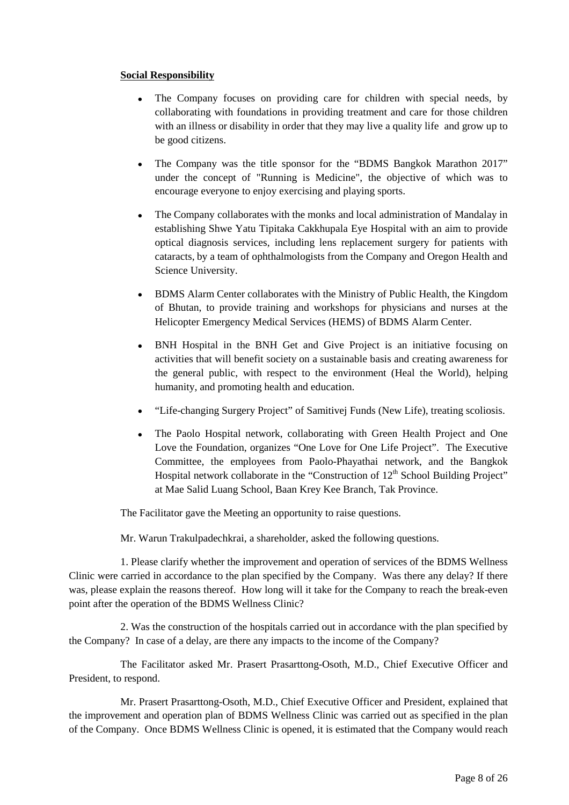### **Social Responsibility**

- The Company focuses on providing care for children with special needs, by collaborating with foundations in providing treatment and care for those children with an illness or disability in order that they may live a quality life and grow up to be good citizens.
- The Company was the title sponsor for the "BDMS Bangkok Marathon 2017" under the concept of "Running is Medicine", the objective of which was to encourage everyone to enjoy exercising and playing sports.
- The Company collaborates with the monks and local administration of Mandalay in establishing Shwe Yatu Tipitaka Cakkhupala Eye Hospital with an aim to provide optical diagnosis services, including lens replacement surgery for patients with cataracts, by a team of ophthalmologists from the Company and Oregon Health and Science University.
- BDMS Alarm Center collaborates with the Ministry of Public Health, the Kingdom of Bhutan, to provide training and workshops for physicians and nurses at the Helicopter Emergency Medical Services (HEMS) of BDMS Alarm Center.
- BNH Hospital in the BNH Get and Give Project is an initiative focusing on activities that will benefit society on a sustainable basis and creating awareness for the general public, with respect to the environment (Heal the World), helping humanity, and promoting health and education.
- "Life-changing Surgery Project" of Samitivej Funds (New Life), treating scoliosis.
- The Paolo Hospital network, collaborating with Green Health Project and One Love the Foundation, organizes "One Love for One Life Project". The Executive Committee, the employees from Paolo-Phayathai network, and the Bangkok Hospital network collaborate in the "Construction of 12<sup>th</sup> School Building Project" at Mae Salid Luang School, Baan Krey Kee Branch, Tak Province.

The Facilitator gave the Meeting an opportunity to raise questions.

Mr. Warun Trakulpadechkrai, a shareholder, asked the following questions.

1. Please clarify whether the improvement and operation of services of the BDMS Wellness Clinic were carried in accordance to the plan specified by the Company. Was there any delay? If there was, please explain the reasons thereof. How long will it take for the Company to reach the break-even point after the operation of the BDMS Wellness Clinic?

2. Was the construction of the hospitals carried out in accordance with the plan specified by the Company? In case of a delay, are there any impacts to the income of the Company?

 The Facilitator asked Mr. Prasert Prasarttong-Osoth, M.D., Chief Executive Officer and President, to respond.

 Mr. Prasert Prasarttong-Osoth, M.D., Chief Executive Officer and President, explained that the improvement and operation plan of BDMS Wellness Clinic was carried out as specified in the plan of the Company. Once BDMS Wellness Clinic is opened, it is estimated that the Company would reach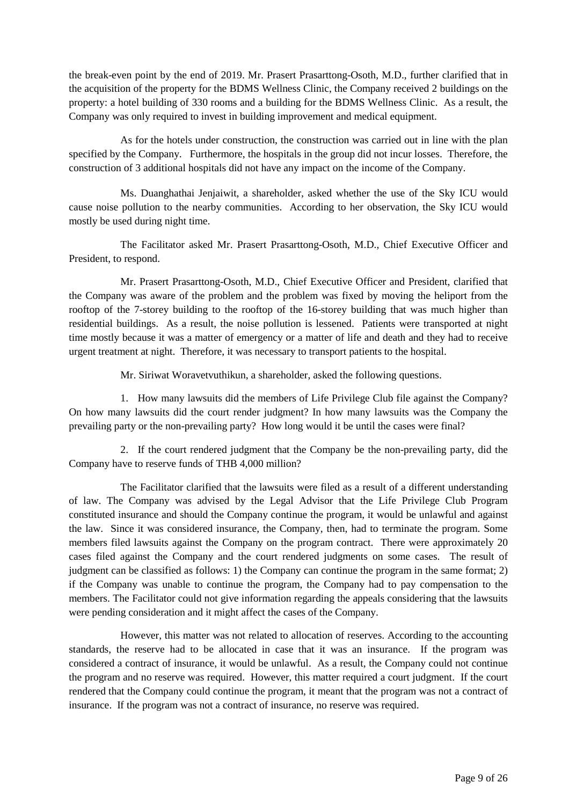the break-even point by the end of 2019. Mr. Prasert Prasarttong-Osoth, M.D., further clarified that in the acquisition of the property for the BDMS Wellness Clinic, the Company received 2 buildings on the property: a hotel building of 330 rooms and a building for the BDMS Wellness Clinic. As a result, the Company was only required to invest in building improvement and medical equipment.

 As for the hotels under construction, the construction was carried out in line with the plan specified by the Company. Furthermore, the hospitals in the group did not incur losses. Therefore, the construction of 3 additional hospitals did not have any impact on the income of the Company.

 Ms. Duanghathai Jenjaiwit, a shareholder, asked whether the use of the Sky ICU would cause noise pollution to the nearby communities. According to her observation, the Sky ICU would mostly be used during night time.

 The Facilitator asked Mr. Prasert Prasarttong-Osoth, M.D., Chief Executive Officer and President, to respond.

 Mr. Prasert Prasarttong-Osoth, M.D., Chief Executive Officer and President, clarified that the Company was aware of the problem and the problem was fixed by moving the heliport from the rooftop of the 7-storey building to the rooftop of the 16-storey building that was much higher than residential buildings. As a result, the noise pollution is lessened. Patients were transported at night time mostly because it was a matter of emergency or a matter of life and death and they had to receive urgent treatment at night. Therefore, it was necessary to transport patients to the hospital.

Mr. Siriwat Woravetvuthikun, a shareholder, asked the following questions.

1. How many lawsuits did the members of Life Privilege Club file against the Company? On how many lawsuits did the court render judgment? In how many lawsuits was the Company the prevailing party or the non-prevailing party? How long would it be until the cases were final?

2. If the court rendered judgment that the Company be the non-prevailing party, did the Company have to reserve funds of THB 4,000 million?

 The Facilitator clarified that the lawsuits were filed as a result of a different understanding of law. The Company was advised by the Legal Advisor that the Life Privilege Club Program constituted insurance and should the Company continue the program, it would be unlawful and against the law. Since it was considered insurance, the Company, then, had to terminate the program. Some members filed lawsuits against the Company on the program contract. There were approximately 20 cases filed against the Company and the court rendered judgments on some cases. The result of judgment can be classified as follows: 1) the Company can continue the program in the same format; 2) if the Company was unable to continue the program, the Company had to pay compensation to the members. The Facilitator could not give information regarding the appeals considering that the lawsuits were pending consideration and it might affect the cases of the Company.

 However, this matter was not related to allocation of reserves. According to the accounting standards, the reserve had to be allocated in case that it was an insurance. If the program was considered a contract of insurance, it would be unlawful. As a result, the Company could not continue the program and no reserve was required. However, this matter required a court judgment. If the court rendered that the Company could continue the program, it meant that the program was not a contract of insurance. If the program was not a contract of insurance, no reserve was required.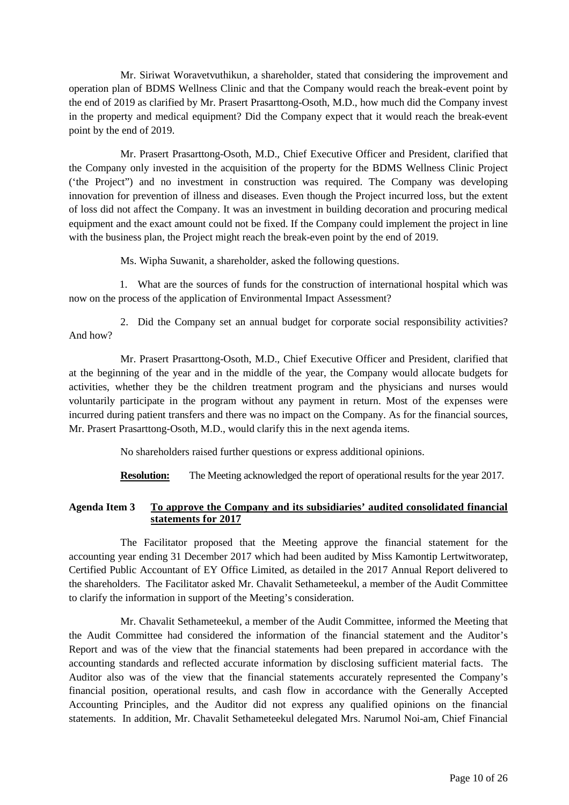Mr. Siriwat Woravetvuthikun, a shareholder, stated that considering the improvement and operation plan of BDMS Wellness Clinic and that the Company would reach the break-event point by the end of 2019 as clarified by Mr. Prasert Prasarttong-Osoth, M.D., how much did the Company invest in the property and medical equipment? Did the Company expect that it would reach the break-event point by the end of 2019.

 Mr. Prasert Prasarttong-Osoth, M.D., Chief Executive Officer and President, clarified that the Company only invested in the acquisition of the property for the BDMS Wellness Clinic Project ('the Project") and no investment in construction was required. The Company was developing innovation for prevention of illness and diseases. Even though the Project incurred loss, but the extent of loss did not affect the Company. It was an investment in building decoration and procuring medical equipment and the exact amount could not be fixed. If the Company could implement the project in line with the business plan, the Project might reach the break-even point by the end of 2019.

Ms. Wipha Suwanit, a shareholder, asked the following questions.

1. What are the sources of funds for the construction of international hospital which was now on the process of the application of Environmental Impact Assessment?

2. Did the Company set an annual budget for corporate social responsibility activities? And how?

 Mr. Prasert Prasarttong-Osoth, M.D., Chief Executive Officer and President, clarified that at the beginning of the year and in the middle of the year, the Company would allocate budgets for activities, whether they be the children treatment program and the physicians and nurses would voluntarily participate in the program without any payment in return. Most of the expenses were incurred during patient transfers and there was no impact on the Company. As for the financial sources, Mr. Prasert Prasarttong-Osoth, M.D., would clarify this in the next agenda items.

No shareholders raised further questions or express additional opinions.

**Resolution:** The Meeting acknowledged the report of operational results for the year 2017.

### **Agenda Item 3 To approve the Company and its subsidiaries' audited consolidated financial statements for 2017**

The Facilitator proposed that the Meeting approve the financial statement for the accounting year ending 31 December 2017 which had been audited by Miss Kamontip Lertwitworatep, Certified Public Accountant of EY Office Limited, as detailed in the 2017 Annual Report delivered to the shareholders. The Facilitator asked Mr. Chavalit Sethameteekul, a member of the Audit Committee to clarify the information in support of the Meeting's consideration.

Mr. Chavalit Sethameteekul, a member of the Audit Committee, informed the Meeting that the Audit Committee had considered the information of the financial statement and the Auditor's Report and was of the view that the financial statements had been prepared in accordance with the accounting standards and reflected accurate information by disclosing sufficient material facts. The Auditor also was of the view that the financial statements accurately represented the Company's financial position, operational results, and cash flow in accordance with the Generally Accepted Accounting Principles, and the Auditor did not express any qualified opinions on the financial statements. In addition, Mr. Chavalit Sethameteekul delegated Mrs. Narumol Noi-am, Chief Financial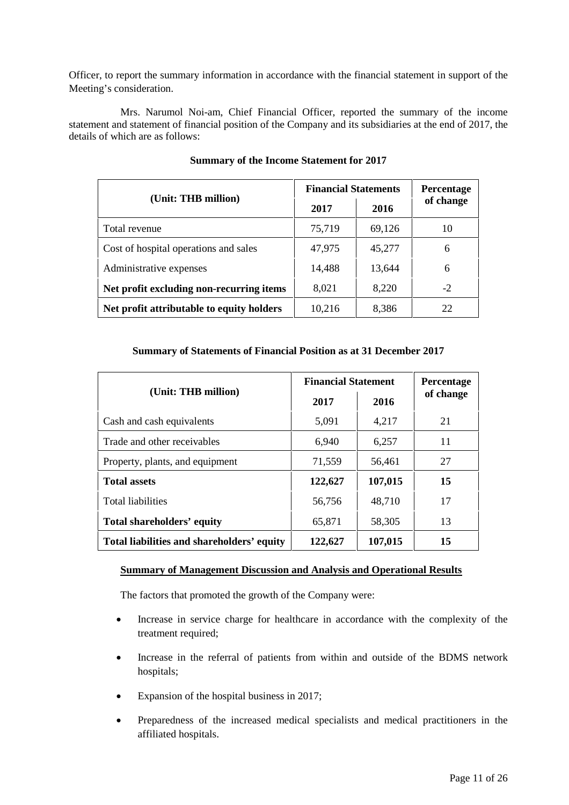Officer, to report the summary information in accordance with the financial statement in support of the Meeting's consideration.

Mrs. Narumol Noi-am, Chief Financial Officer, reported the summary of the income statement and statement of financial position of the Company and its subsidiaries at the end of 2017, the details of which are as follows:

|                                           | <b>Financial Statements</b> | <b>Percentage</b> |           |
|-------------------------------------------|-----------------------------|-------------------|-----------|
| (Unit: THB million)                       | 2017                        | 2016              | of change |
| Total revenue                             | 75,719                      | 69,126            | 10        |
| Cost of hospital operations and sales     | 47,975                      | 45,277            | 6         |
| Administrative expenses                   | 14,488                      | 13,644            | 6         |
| Net profit excluding non-recurring items  | 8,021                       | 8,220             | $-2$      |
| Net profit attributable to equity holders | 10,216                      | 8,386             | 22        |

### **Summary of the Income Statement for 2017**

### **Summary of Statements of Financial Position as at 31 December 2017**

|                                            | <b>Financial Statement</b> | <b>Percentage</b> |           |
|--------------------------------------------|----------------------------|-------------------|-----------|
| (Unit: THB million)                        | 2017                       | 2016              | of change |
| Cash and cash equivalents                  | 5,091                      | 4,217             | 21        |
| Trade and other receivables                | 6,940                      | 6,257             | 11        |
| Property, plants, and equipment            | 71,559                     | 56,461            | 27        |
| <b>Total assets</b>                        | 122,627                    | 107,015           | 15        |
| <b>Total liabilities</b>                   | 56,756                     | 48,710            | 17        |
| Total shareholders' equity                 | 65,871                     | 58,305            | 13        |
| Total liabilities and shareholders' equity | 122,627                    | 107,015           | 15        |

### **Summary of Management Discussion and Analysis and Operational Results**

The factors that promoted the growth of the Company were:

- Increase in service charge for healthcare in accordance with the complexity of the treatment required;
- Increase in the referral of patients from within and outside of the BDMS network hospitals;
- Expansion of the hospital business in 2017;
- Preparedness of the increased medical specialists and medical practitioners in the affiliated hospitals.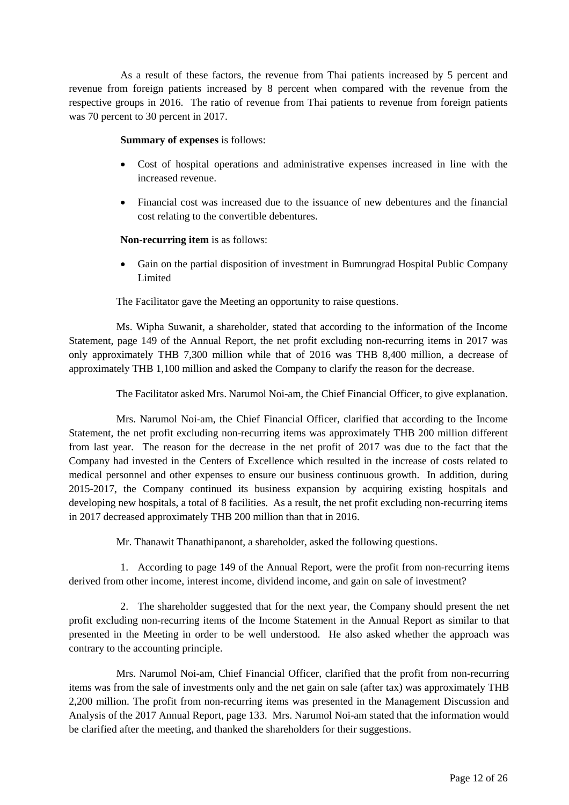As a result of these factors, the revenue from Thai patients increased by 5 percent and revenue from foreign patients increased by 8 percent when compared with the revenue from the respective groups in 2016. The ratio of revenue from Thai patients to revenue from foreign patients was 70 percent to 30 percent in 2017.

#### **Summary of expenses** is follows:

- Cost of hospital operations and administrative expenses increased in line with the increased revenue.
- Financial cost was increased due to the issuance of new debentures and the financial cost relating to the convertible debentures.

#### **Non-recurring item** is as follows:

• Gain on the partial disposition of investment in Bumrungrad Hospital Public Company Limited

The Facilitator gave the Meeting an opportunity to raise questions.

 Ms. Wipha Suwanit, a shareholder, stated that according to the information of the Income Statement, page 149 of the Annual Report, the net profit excluding non-recurring items in 2017 was only approximately THB 7,300 million while that of 2016 was THB 8,400 million, a decrease of approximately THB 1,100 million and asked the Company to clarify the reason for the decrease.

The Facilitator asked Mrs. Narumol Noi-am, the Chief Financial Officer, to give explanation.

 Mrs. Narumol Noi-am, the Chief Financial Officer, clarified that according to the Income Statement, the net profit excluding non-recurring items was approximately THB 200 million different from last year. The reason for the decrease in the net profit of 2017 was due to the fact that the Company had invested in the Centers of Excellence which resulted in the increase of costs related to medical personnel and other expenses to ensure our business continuous growth. In addition, during 2015-2017, the Company continued its business expansion by acquiring existing hospitals and developing new hospitals, a total of 8 facilities. As a result, the net profit excluding non-recurring items in 2017 decreased approximately THB 200 million than that in 2016.

Mr. Thanawit Thanathipanont, a shareholder, asked the following questions.

1. According to page 149 of the Annual Report, were the profit from non-recurring items derived from other income, interest income, dividend income, and gain on sale of investment?

2. The shareholder suggested that for the next year, the Company should present the net profit excluding non-recurring items of the Income Statement in the Annual Report as similar to that presented in the Meeting in order to be well understood. He also asked whether the approach was contrary to the accounting principle.

 Mrs. Narumol Noi-am, Chief Financial Officer, clarified that the profit from non-recurring items was from the sale of investments only and the net gain on sale (after tax) was approximately THB 2,200 million. The profit from non-recurring items was presented in the Management Discussion and Analysis of the 2017 Annual Report, page 133. Mrs. Narumol Noi-am stated that the information would be clarified after the meeting, and thanked the shareholders for their suggestions.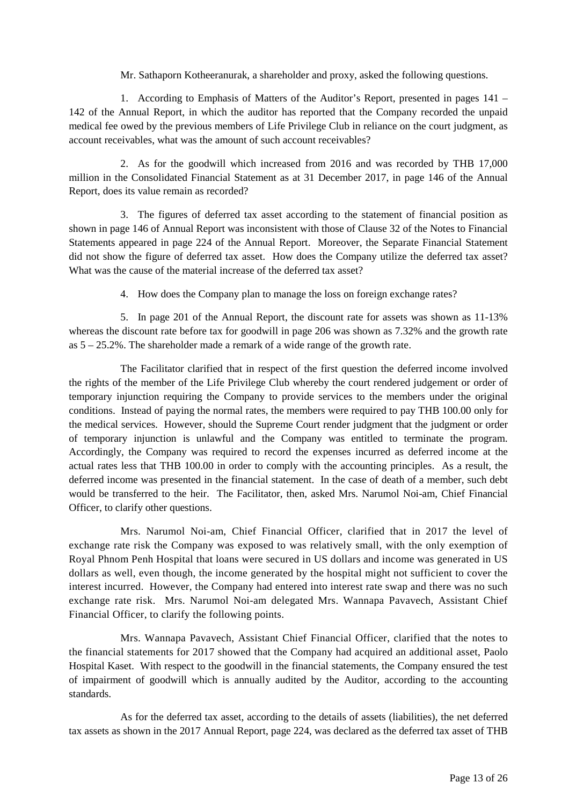Mr. Sathaporn Kotheeranurak, a shareholder and proxy, asked the following questions.

1. According to Emphasis of Matters of the Auditor's Report, presented in pages 141 – 142 of the Annual Report, in which the auditor has reported that the Company recorded the unpaid medical fee owed by the previous members of Life Privilege Club in reliance on the court judgment, as account receivables, what was the amount of such account receivables?

2. As for the goodwill which increased from 2016 and was recorded by THB 17,000 million in the Consolidated Financial Statement as at 31 December 2017, in page 146 of the Annual Report, does its value remain as recorded?

3. The figures of deferred tax asset according to the statement of financial position as shown in page 146 of Annual Report was inconsistent with those of Clause 32 of the Notes to Financial Statements appeared in page 224 of the Annual Report. Moreover, the Separate Financial Statement did not show the figure of deferred tax asset. How does the Company utilize the deferred tax asset? What was the cause of the material increase of the deferred tax asset?

4. How does the Company plan to manage the loss on foreign exchange rates?

5. In page 201 of the Annual Report, the discount rate for assets was shown as 11-13% whereas the discount rate before tax for goodwill in page 206 was shown as 7.32% and the growth rate as 5 – 25.2%. The shareholder made a remark of a wide range of the growth rate.

 The Facilitator clarified that in respect of the first question the deferred income involved the rights of the member of the Life Privilege Club whereby the court rendered judgement or order of temporary injunction requiring the Company to provide services to the members under the original conditions. Instead of paying the normal rates, the members were required to pay THB 100.00 only for the medical services. However, should the Supreme Court render judgment that the judgment or order of temporary injunction is unlawful and the Company was entitled to terminate the program. Accordingly, the Company was required to record the expenses incurred as deferred income at the actual rates less that THB 100.00 in order to comply with the accounting principles. As a result, the deferred income was presented in the financial statement. In the case of death of a member, such debt would be transferred to the heir. The Facilitator, then, asked Mrs. Narumol Noi-am, Chief Financial Officer, to clarify other questions.

 Mrs. Narumol Noi-am, Chief Financial Officer, clarified that in 2017 the level of exchange rate risk the Company was exposed to was relatively small, with the only exemption of Royal Phnom Penh Hospital that loans were secured in US dollars and income was generated in US dollars as well, even though, the income generated by the hospital might not sufficient to cover the interest incurred. However, the Company had entered into interest rate swap and there was no such exchange rate risk. Mrs. Narumol Noi-am delegated Mrs. Wannapa Pavavech, Assistant Chief Financial Officer, to clarify the following points.

 Mrs. Wannapa Pavavech, Assistant Chief Financial Officer, clarified that the notes to the financial statements for 2017 showed that the Company had acquired an additional asset, Paolo Hospital Kaset. With respect to the goodwill in the financial statements, the Company ensured the test of impairment of goodwill which is annually audited by the Auditor, according to the accounting standards.

 As for the deferred tax asset, according to the details of assets (liabilities), the net deferred tax assets as shown in the 2017 Annual Report, page 224, was declared as the deferred tax asset of THB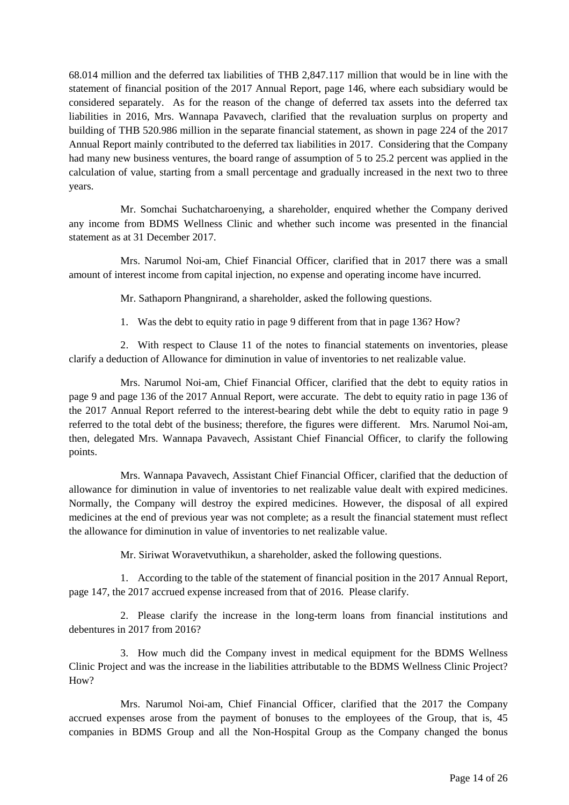68.014 million and the deferred tax liabilities of THB 2,847.117 million that would be in line with the statement of financial position of the 2017 Annual Report, page 146, where each subsidiary would be considered separately. As for the reason of the change of deferred tax assets into the deferred tax liabilities in 2016, Mrs. Wannapa Pavavech, clarified that the revaluation surplus on property and building of THB 520.986 million in the separate financial statement, as shown in page 224 of the 2017 Annual Report mainly contributed to the deferred tax liabilities in 2017. Considering that the Company had many new business ventures, the board range of assumption of 5 to 25.2 percent was applied in the calculation of value, starting from a small percentage and gradually increased in the next two to three years.

 Mr. Somchai Suchatcharoenying, a shareholder, enquired whether the Company derived any income from BDMS Wellness Clinic and whether such income was presented in the financial statement as at 31 December 2017.

 Mrs. Narumol Noi-am, Chief Financial Officer, clarified that in 2017 there was a small amount of interest income from capital injection, no expense and operating income have incurred.

Mr. Sathaporn Phangnirand, a shareholder, asked the following questions.

1. Was the debt to equity ratio in page 9 different from that in page 136? How?

 2. With respect to Clause 11 of the notes to financial statements on inventories, please clarify a deduction of Allowance for diminution in value of inventories to net realizable value.

 Mrs. Narumol Noi-am, Chief Financial Officer, clarified that the debt to equity ratios in page 9 and page 136 of the 2017 Annual Report, were accurate. The debt to equity ratio in page 136 of the 2017 Annual Report referred to the interest-bearing debt while the debt to equity ratio in page 9 referred to the total debt of the business; therefore, the figures were different. Mrs. Narumol Noi-am, then, delegated Mrs. Wannapa Pavavech, Assistant Chief Financial Officer, to clarify the following points.

 Mrs. Wannapa Pavavech, Assistant Chief Financial Officer, clarified that the deduction of allowance for diminution in value of inventories to net realizable value dealt with expired medicines. Normally, the Company will destroy the expired medicines. However, the disposal of all expired medicines at the end of previous year was not complete; as a result the financial statement must reflect the allowance for diminution in value of inventories to net realizable value.

Mr. Siriwat Woravetvuthikun, a shareholder, asked the following questions.

 1. According to the table of the statement of financial position in the 2017 Annual Report, page 147, the 2017 accrued expense increased from that of 2016. Please clarify.

 2. Please clarify the increase in the long-term loans from financial institutions and debentures in 2017 from 2016?

 3. How much did the Company invest in medical equipment for the BDMS Wellness Clinic Project and was the increase in the liabilities attributable to the BDMS Wellness Clinic Project? How?

 Mrs. Narumol Noi-am, Chief Financial Officer, clarified that the 2017 the Company accrued expenses arose from the payment of bonuses to the employees of the Group, that is, 45 companies in BDMS Group and all the Non-Hospital Group as the Company changed the bonus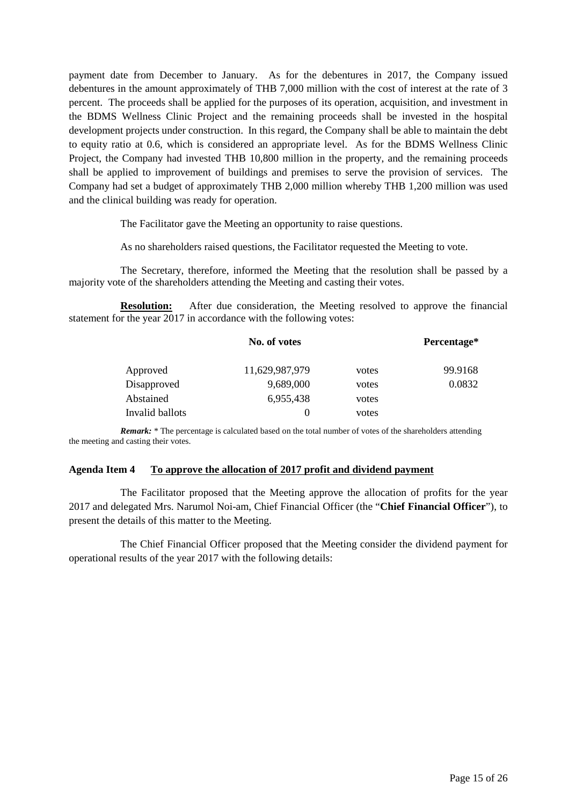payment date from December to January. As for the debentures in 2017, the Company issued debentures in the amount approximately of THB 7,000 million with the cost of interest at the rate of 3 percent. The proceeds shall be applied for the purposes of its operation, acquisition, and investment in the BDMS Wellness Clinic Project and the remaining proceeds shall be invested in the hospital development projects under construction. In this regard, the Company shall be able to maintain the debt to equity ratio at 0.6, which is considered an appropriate level. As for the BDMS Wellness Clinic Project, the Company had invested THB 10,800 million in the property, and the remaining proceeds shall be applied to improvement of buildings and premises to serve the provision of services. The Company had set a budget of approximately THB 2,000 million whereby THB 1,200 million was used and the clinical building was ready for operation.

The Facilitator gave the Meeting an opportunity to raise questions.

As no shareholders raised questions, the Facilitator requested the Meeting to vote.

The Secretary, therefore, informed the Meeting that the resolution shall be passed by a majority vote of the shareholders attending the Meeting and casting their votes.

**Resolution:** After due consideration, the Meeting resolved to approve the financial statement for the year 2017 in accordance with the following votes:

|                 | No. of votes   |       | Percentage* |
|-----------------|----------------|-------|-------------|
| Approved        | 11,629,987,979 | votes | 99.9168     |
| Disapproved     | 9,689,000      | votes | 0.0832      |
| Abstained       | 6,955,438      | votes |             |
| Invalid ballots | $\theta$       | votes |             |

*Remark:* \* The percentage is calculated based on the total number of votes of the shareholders attending the meeting and casting their votes.

#### **Agenda Item 4 To approve the allocation of 2017 profit and dividend payment**

 The Facilitator proposed that the Meeting approve the allocation of profits for the year 2017 and delegated Mrs. Narumol Noi-am, Chief Financial Officer (the "**Chief Financial Officer**"), to present the details of this matter to the Meeting.

 The Chief Financial Officer proposed that the Meeting consider the dividend payment for operational results of the year 2017 with the following details: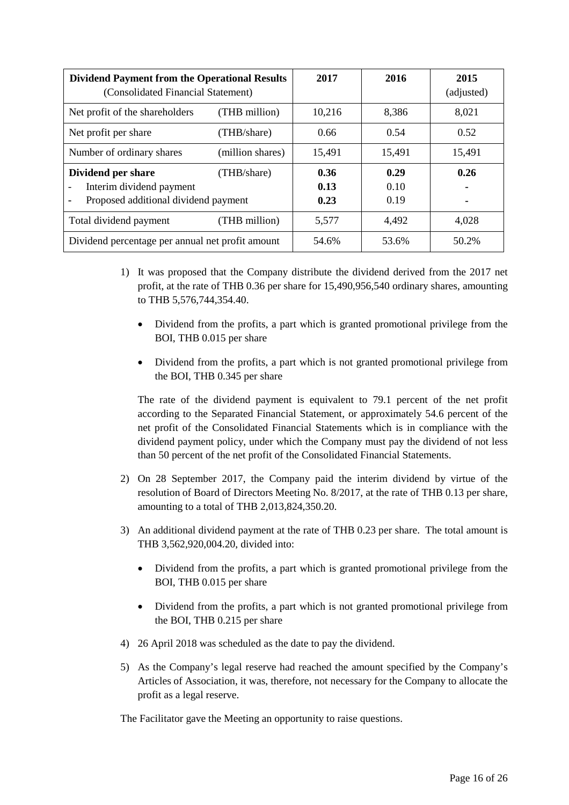| <b>Dividend Payment from the Operational Results</b><br>(Consolidated Financial Statement)            |               | 2017                 | 2016                 | 2015<br>(adjusted)     |
|-------------------------------------------------------------------------------------------------------|---------------|----------------------|----------------------|------------------------|
| Net profit of the shareholders                                                                        | (THB million) | 10,216               | 8.386                | 8,021                  |
| Net profit per share                                                                                  | (THB/share)   | 0.66                 | 0.54                 | 0.52                   |
| Number of ordinary shares<br>(million shares)                                                         |               | 15,491               | 15,491               | 15,491                 |
| Dividend per share<br>(THB/share)<br>Interim dividend payment<br>Proposed additional dividend payment |               | 0.36<br>0.13<br>0.23 | 0.29<br>0.10<br>0.19 | 0.26<br>$\blacksquare$ |
| Total dividend payment                                                                                | (THB million) | 5,577                | 4,492                | 4,028                  |
| Dividend percentage per annual net profit amount                                                      |               | 54.6%                | 53.6%                | 50.2%                  |

- 1) It was proposed that the Company distribute the dividend derived from the 2017 net profit, at the rate of THB 0.36 per share for 15,490,956,540 ordinary shares, amounting to THB 5,576,744,354.40.
	- Dividend from the profits, a part which is granted promotional privilege from the BOI, THB 0.015 per share
	- Dividend from the profits, a part which is not granted promotional privilege from the BOI, THB 0.345 per share

The rate of the dividend payment is equivalent to 79.1 percent of the net profit according to the Separated Financial Statement, or approximately 54.6 percent of the net profit of the Consolidated Financial Statements which is in compliance with the dividend payment policy, under which the Company must pay the dividend of not less than 50 percent of the net profit of the Consolidated Financial Statements.

- 2) On 28 September 2017, the Company paid the interim dividend by virtue of the resolution of Board of Directors Meeting No. 8/2017, at the rate of THB 0.13 per share, amounting to a total of THB 2,013,824,350.20.
- 3) An additional dividend payment at the rate of THB 0.23 per share. The total amount is THB 3,562,920,004.20, divided into:
	- Dividend from the profits, a part which is granted promotional privilege from the BOI, THB 0.015 per share
	- Dividend from the profits, a part which is not granted promotional privilege from the BOI, THB 0.215 per share
- 4) 26 April 2018 was scheduled as the date to pay the dividend.
- 5) As the Company's legal reserve had reached the amount specified by the Company's Articles of Association, it was, therefore, not necessary for the Company to allocate the profit as a legal reserve.

The Facilitator gave the Meeting an opportunity to raise questions.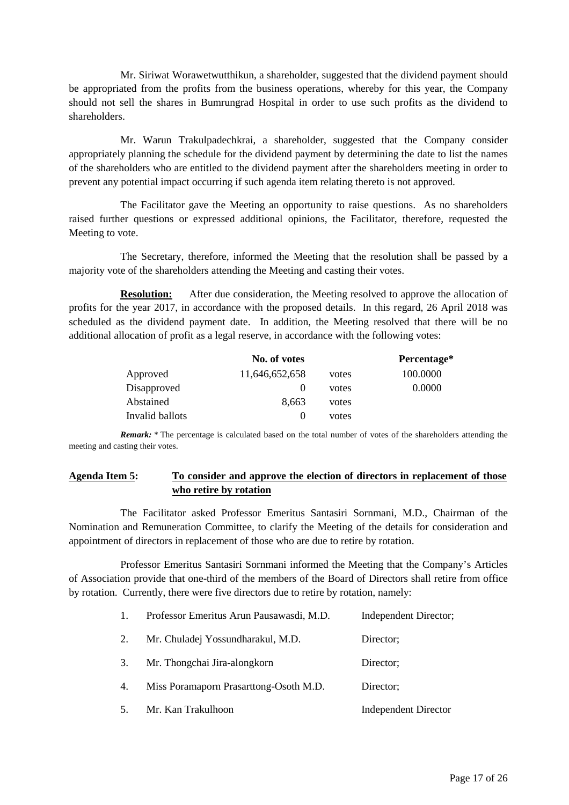Mr. Siriwat Worawetwutthikun, a shareholder, suggested that the dividend payment should be appropriated from the profits from the business operations, whereby for this year, the Company should not sell the shares in Bumrungrad Hospital in order to use such profits as the dividend to shareholders.

 Mr. Warun Trakulpadechkrai, a shareholder, suggested that the Company consider appropriately planning the schedule for the dividend payment by determining the date to list the names of the shareholders who are entitled to the dividend payment after the shareholders meeting in order to prevent any potential impact occurring if such agenda item relating thereto is not approved.

The Facilitator gave the Meeting an opportunity to raise questions. As no shareholders raised further questions or expressed additional opinions, the Facilitator, therefore, requested the Meeting to vote.

The Secretary, therefore, informed the Meeting that the resolution shall be passed by a majority vote of the shareholders attending the Meeting and casting their votes.

**Resolution:** After due consideration, the Meeting resolved to approve the allocation of profits for the year 2017, in accordance with the proposed details. In this regard, 26 April 2018 was scheduled as the dividend payment date. In addition, the Meeting resolved that there will be no additional allocation of profit as a legal reserve, in accordance with the following votes:

|                 | No. of votes   |       | Percentage* |
|-----------------|----------------|-------|-------------|
| Approved        | 11,646,652,658 | votes | 100.0000    |
| Disapproved     |                | votes | 0.0000      |
| Abstained       | 8.663          | votes |             |
| Invalid ballots |                | votes |             |

*Remark:* \* The percentage is calculated based on the total number of votes of the shareholders attending the meeting and casting their votes.

# **Agenda Item 5: To consider and approve the election of directors in replacement of those who retire by rotation**

 The Facilitator asked Professor Emeritus Santasiri Sornmani, M.D., Chairman of the Nomination and Remuneration Committee, to clarify the Meeting of the details for consideration and appointment of directors in replacement of those who are due to retire by rotation.

 Professor Emeritus Santasiri Sornmani informed the Meeting that the Company's Articles of Association provide that one-third of the members of the Board of Directors shall retire from office by rotation. Currently, there were five directors due to retire by rotation, namely:

| 1. | Professor Emeritus Arun Pausawasdi, M.D. | Independent Director;       |
|----|------------------------------------------|-----------------------------|
| 2. | Mr. Chuladej Yossundharakul, M.D.        | Director;                   |
| 3. | Mr. Thongchai Jira-alongkorn             | Director;                   |
| 4. | Miss Poramaporn Prasarttong-Osoth M.D.   | Director;                   |
| 5. | Mr. Kan Trakulhoon                       | <b>Independent Director</b> |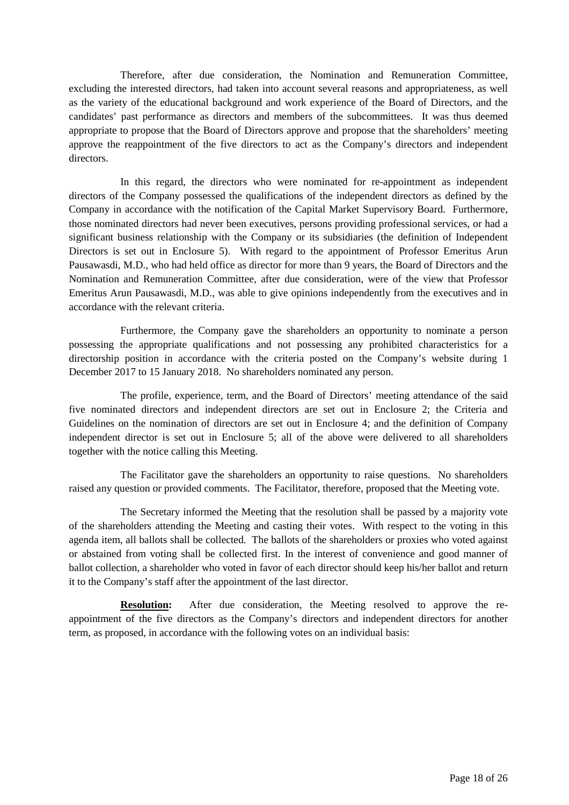Therefore, after due consideration, the Nomination and Remuneration Committee, excluding the interested directors, had taken into account several reasons and appropriateness, as well as the variety of the educational background and work experience of the Board of Directors, and the candidates' past performance as directors and members of the subcommittees. It was thus deemed appropriate to propose that the Board of Directors approve and propose that the shareholders' meeting approve the reappointment of the five directors to act as the Company's directors and independent directors.

In this regard, the directors who were nominated for re-appointment as independent directors of the Company possessed the qualifications of the independent directors as defined by the Company in accordance with the notification of the Capital Market Supervisory Board. Furthermore, those nominated directors had never been executives, persons providing professional services, or had a significant business relationship with the Company or its subsidiaries (the definition of Independent Directors is set out in Enclosure 5). With regard to the appointment of Professor Emeritus Arun Pausawasdi, M.D., who had held office as director for more than 9 years, the Board of Directors and the Nomination and Remuneration Committee, after due consideration, were of the view that Professor Emeritus Arun Pausawasdi, M.D., was able to give opinions independently from the executives and in accordance with the relevant criteria.

Furthermore, the Company gave the shareholders an opportunity to nominate a person possessing the appropriate qualifications and not possessing any prohibited characteristics for a directorship position in accordance with the criteria posted on the Company's website during 1 December 2017 to 15 January 2018. No shareholders nominated any person.

The profile, experience, term, and the Board of Directors' meeting attendance of the said five nominated directors and independent directors are set out in Enclosure 2; the Criteria and Guidelines on the nomination of directors are set out in Enclosure 4; and the definition of Company independent director is set out in Enclosure 5; all of the above were delivered to all shareholders together with the notice calling this Meeting.

The Facilitator gave the shareholders an opportunity to raise questions. No shareholders raised any question or provided comments. The Facilitator, therefore, proposed that the Meeting vote.

The Secretary informed the Meeting that the resolution shall be passed by a majority vote of the shareholders attending the Meeting and casting their votes. With respect to the voting in this agenda item, all ballots shall be collected. The ballots of the shareholders or proxies who voted against or abstained from voting shall be collected first. In the interest of convenience and good manner of ballot collection, a shareholder who voted in favor of each director should keep his/her ballot and return it to the Company's staff after the appointment of the last director.

**Resolution:** After due consideration, the Meeting resolved to approve the reappointment of the five directors as the Company's directors and independent directors for another term, as proposed, in accordance with the following votes on an individual basis: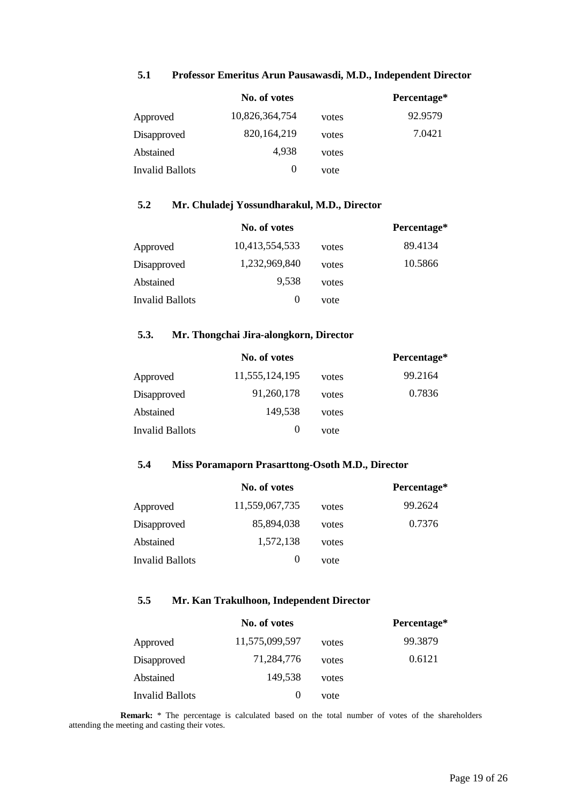|                 | No. of votes   |       | Percentage* |
|-----------------|----------------|-------|-------------|
| Approved        | 10,826,364,754 | votes | 92.9579     |
| Disapproved     | 820, 164, 219  | votes | 7.0421      |
| Abstained       | 4.938          | votes |             |
| Invalid Ballots | $\theta$       | vote  |             |

### **5.1 Professor Emeritus Arun Pausawasdi, M.D., Independent Director**

# **5.2 Mr. Chuladej Yossundharakul, M.D., Director**

|                 | No. of votes   |       | Percentage* |
|-----------------|----------------|-------|-------------|
| Approved        | 10,413,554,533 | votes | 89.4134     |
| Disapproved     | 1,232,969,840  | votes | 10.5866     |
| Abstained       | 9.538          | votes |             |
| Invalid Ballots | $\theta$       | vote  |             |

# **5.3. Mr. Thongchai Jira-alongkorn, Director**

|                 | No. of votes   |       | Percentage* |
|-----------------|----------------|-------|-------------|
| Approved        | 11,555,124,195 | votes | 99.2164     |
| Disapproved     | 91,260,178     | votes | 0.7836      |
| Abstained       | 149,538        | votes |             |
| Invalid Ballots | $\theta$       | vote  |             |

#### **5.4 Miss Poramaporn Prasarttong-Osoth M.D., Director**

|                 | No. of votes   |       | Percentage* |
|-----------------|----------------|-------|-------------|
| Approved        | 11,559,067,735 | votes | 99.2624     |
| Disapproved     | 85,894,038     | votes | 0.7376      |
| Abstained       | 1,572,138      | votes |             |
| Invalid Ballots | $\theta$       | vote  |             |

#### **5.5 Mr. Kan Trakulhoon, Independent Director**

|                 | No. of votes   |       | Percentage* |
|-----------------|----------------|-------|-------------|
| Approved        | 11,575,099,597 | votes | 99.3879     |
| Disapproved     | 71,284,776     | votes | 0.6121      |
| Abstained       | 149,538        | votes |             |
| Invalid Ballots | $_{0}$         | vote  |             |

**Remark:** \* The percentage is calculated based on the total number of votes of the shareholders attending the meeting and casting their votes.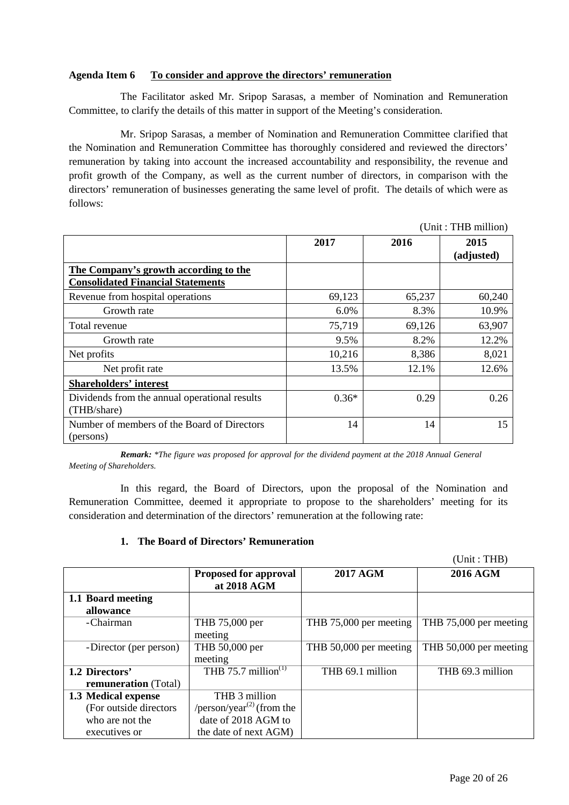### **Agenda Item 6 To consider and approve the directors' remuneration**

The Facilitator asked Mr. Sripop Sarasas, a member of Nomination and Remuneration Committee, to clarify the details of this matter in support of the Meeting's consideration.

Mr. Sripop Sarasas, a member of Nomination and Remuneration Committee clarified that the Nomination and Remuneration Committee has thoroughly considered and reviewed the directors' remuneration by taking into account the increased accountability and responsibility, the revenue and profit growth of the Company, as well as the current number of directors, in comparison with the directors' remuneration of businesses generating the same level of profit. The details of which were as follows:

|                                                                                   |         |        | (UIIII ; I AD IIIIIIIOII) |
|-----------------------------------------------------------------------------------|---------|--------|---------------------------|
|                                                                                   | 2017    | 2016   | 2015<br>(adjusted)        |
| The Company's growth according to the<br><b>Consolidated Financial Statements</b> |         |        |                           |
| Revenue from hospital operations                                                  | 69,123  | 65,237 | 60,240                    |
| Growth rate                                                                       | 6.0%    | 8.3%   | 10.9%                     |
| Total revenue                                                                     | 75,719  | 69,126 | 63,907                    |
| Growth rate                                                                       | 9.5%    | 8.2%   | 12.2%                     |
| Net profits                                                                       | 10,216  | 8,386  | 8,021                     |
| Net profit rate                                                                   | 13.5%   | 12.1%  | 12.6%                     |
| <b>Shareholders' interest</b>                                                     |         |        |                           |
| Dividends from the annual operational results<br>(THB/share)                      | $0.36*$ | 0.29   | 0.26                      |
| Number of members of the Board of Directors<br>(persons)                          | 14      | 14     | 15                        |

*Remark: \*The figure was proposed for approval for the dividend payment at the 2018 Annual General Meeting of Shareholders.* 

In this regard, the Board of Directors, upon the proposal of the Nomination and Remuneration Committee, deemed it appropriate to propose to the shareholders' meeting for its consideration and determination of the directors' remuneration at the following rate:

### **1. The Board of Directors' Remuneration**

(Unit : THB)

 $(11)^t$  : The million of  $(11)^t$ 

|                                               | <b>Proposed for approval</b><br>at 2018 AGM        | <b>2017 AGM</b>        | <b>2016 AGM</b>        |
|-----------------------------------------------|----------------------------------------------------|------------------------|------------------------|
| 1.1 Board meeting<br>allowance                |                                                    |                        |                        |
| -Chairman                                     | THB 75,000 per<br>meeting                          | THB 75,000 per meeting | THB 75,000 per meeting |
| -Director (per person)                        | THB 50,000 per<br>meeting                          | THB 50,000 per meeting | THB 50,000 per meeting |
| 1.2 Directors'<br><b>remuneration</b> (Total) | THB 75.7 million $(1)$                             | THB 69.1 million       | THB 69.3 million       |
| 1.3 Medical expense                           | THB 3 million                                      |                        |                        |
| (For outside directors)                       | /person/year <sup><math>(2)</math></sup> (from the |                        |                        |
| who are not the                               | date of 2018 AGM to                                |                        |                        |
| executives or                                 | the date of next AGM)                              |                        |                        |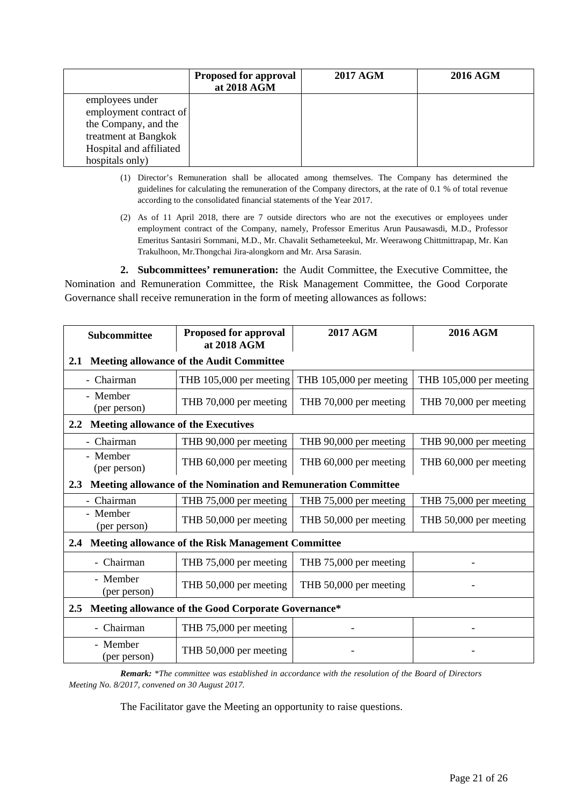|                         | <b>Proposed for approval</b><br>at 2018 AGM | <b>2017 AGM</b> | <b>2016 AGM</b> |
|-------------------------|---------------------------------------------|-----------------|-----------------|
| employees under         |                                             |                 |                 |
| employment contract of  |                                             |                 |                 |
| the Company, and the    |                                             |                 |                 |
| treatment at Bangkok    |                                             |                 |                 |
| Hospital and affiliated |                                             |                 |                 |
| hospitals only)         |                                             |                 |                 |

- (1) Director's Remuneration shall be allocated among themselves. The Company has determined the guidelines for calculating the remuneration of the Company directors, at the rate of 0.1 % of total revenue according to the consolidated financial statements of the Year 2017.
- (2) As of 11 April 2018, there are 7 outside directors who are not the executives or employees under employment contract of the Company, namely, Professor Emeritus Arun Pausawasdi, M.D., Professor Emeritus Santasiri Sornmani, M.D., Mr. Chavalit Sethameteekul, Mr. Weerawong Chittmittrapap, Mr. Kan Trakulhoon, Mr.Thongchai Jira-alongkorn and Mr. Arsa Sarasin.

**2. Subcommittees' remuneration:** the Audit Committee, the Executive Committee, the Nomination and Remuneration Committee, the Risk Management Committee, the Good Corporate Governance shall receive remuneration in the form of meeting allowances as follows:

| <b>Subcommittee</b>                                                     | <b>Proposed for approval</b><br>at 2018 AGM                    | <b>2017 AGM</b>         | <b>2016 AGM</b>         |
|-------------------------------------------------------------------------|----------------------------------------------------------------|-------------------------|-------------------------|
| 2.1                                                                     | <b>Meeting allowance of the Audit Committee</b>                |                         |                         |
| - Chairman                                                              | THB 105,000 per meeting                                        | THB 105,000 per meeting | THB 105,000 per meeting |
| - Member<br>(per person)                                                | THB 70,000 per meeting                                         | THB 70,000 per meeting  | THB 70,000 per meeting  |
| <b>Meeting allowance of the Executives</b><br>$2.2^{\circ}$             |                                                                |                         |                         |
| - Chairman                                                              | THB 90,000 per meeting                                         | THB 90,000 per meeting  | THB 90,000 per meeting  |
| - Member<br>(per person)                                                | THB 60,000 per meeting                                         | THB 60,000 per meeting  | THB 60,000 per meeting  |
| 2.3                                                                     | Meeting allowance of the Nomination and Remuneration Committee |                         |                         |
| - Chairman                                                              | THB 75,000 per meeting                                         | THB 75,000 per meeting  | THB 75,000 per meeting  |
| - Member<br>(per person)                                                | THB 50,000 per meeting                                         | THB 50,000 per meeting  | THB 50,000 per meeting  |
| 2.4                                                                     | <b>Meeting allowance of the Risk Management Committee</b>      |                         |                         |
| - Chairman                                                              | THB 75,000 per meeting                                         | THB 75,000 per meeting  |                         |
| - Member<br>(per person)                                                | THB 50,000 per meeting                                         | THB 50,000 per meeting  |                         |
| Meeting allowance of the Good Corporate Governance*<br>$2.5\phantom{0}$ |                                                                |                         |                         |
| - Chairman                                                              | THB 75,000 per meeting                                         |                         |                         |
| - Member<br>(per person)                                                | THB 50,000 per meeting                                         |                         |                         |

*Remark: \*The committee was established in accordance with the resolution of the Board of Directors Meeting No. 8/2017, convened on 30 August 2017.* 

The Facilitator gave the Meeting an opportunity to raise questions.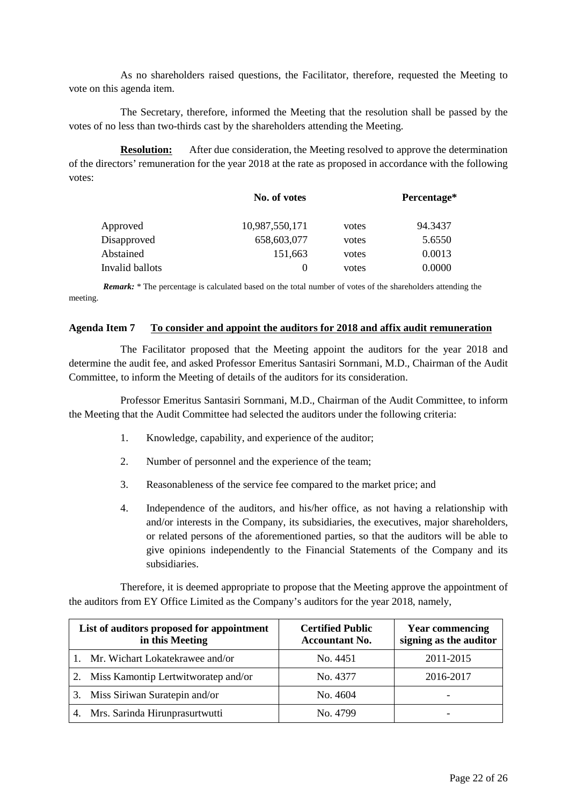As no shareholders raised questions, the Facilitator, therefore, requested the Meeting to vote on this agenda item.

The Secretary, therefore, informed the Meeting that the resolution shall be passed by the votes of no less than two-thirds cast by the shareholders attending the Meeting.

**Resolution:** After due consideration, the Meeting resolved to approve the determination of the directors' remuneration for the year 2018 at the rate as proposed in accordance with the following votes:

|                 | No. of votes   |       | Percentage* |
|-----------------|----------------|-------|-------------|
| Approved        | 10,987,550,171 | votes | 94.3437     |
| Disapproved     | 658,603,077    | votes | 5.6550      |
| Abstained       | 151,663        | votes | 0.0013      |
| Invalid ballots | $\theta$       | votes | 0.0000      |

*Remark:* \* The percentage is calculated based on the total number of votes of the shareholders attending the meeting.

#### **Agenda Item 7 To consider and appoint the auditors for 2018 and affix audit remuneration**

The Facilitator proposed that the Meeting appoint the auditors for the year 2018 and determine the audit fee, and asked Professor Emeritus Santasiri Sornmani, M.D., Chairman of the Audit Committee, to inform the Meeting of details of the auditors for its consideration.

Professor Emeritus Santasiri Sornmani, M.D., Chairman of the Audit Committee, to inform the Meeting that the Audit Committee had selected the auditors under the following criteria:

- 1. Knowledge, capability, and experience of the auditor;
- 2. Number of personnel and the experience of the team;
- 3. Reasonableness of the service fee compared to the market price; and
- 4. Independence of the auditors, and his/her office, as not having a relationship with and/or interests in the Company, its subsidiaries, the executives, major shareholders, or related persons of the aforementioned parties, so that the auditors will be able to give opinions independently to the Financial Statements of the Company and its subsidiaries.

Therefore, it is deemed appropriate to propose that the Meeting approve the appointment of the auditors from EY Office Limited as the Company's auditors for the year 2018, namely,

| List of auditors proposed for appointment<br>in this Meeting | <b>Certified Public</b><br><b>Accountant No.</b> | <b>Year commencing</b><br>signing as the auditor |
|--------------------------------------------------------------|--------------------------------------------------|--------------------------------------------------|
| 1. Mr. Wichart Lokatekrawee and/or                           | No. 4451                                         | 2011-2015                                        |
| Miss Kamontip Lertwitworatep and/or                          | No. 4377                                         | 2016-2017                                        |
| Miss Siriwan Suratepin and/or<br>3.                          | No. 4604                                         | $\overline{\phantom{0}}$                         |
| Mrs. Sarinda Hirunprasurtwutti                               | No. 4799                                         |                                                  |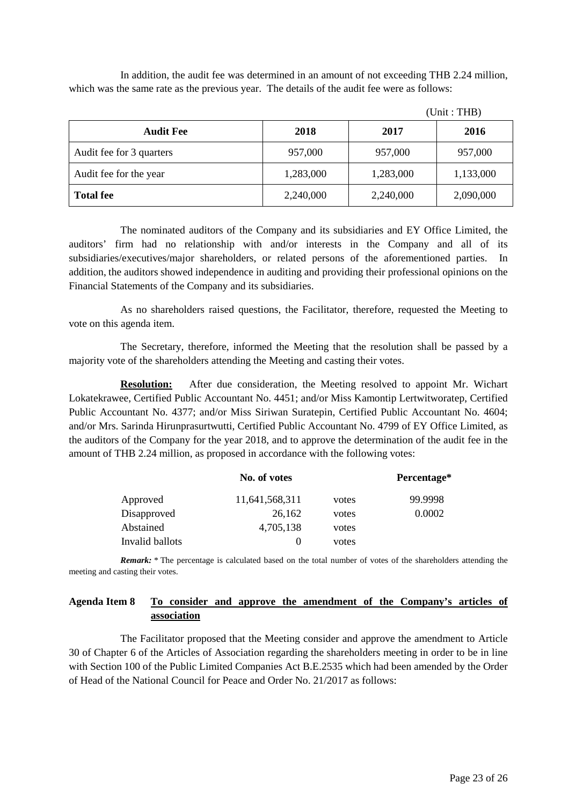In addition, the audit fee was determined in an amount of not exceeding THB 2.24 million, which was the same rate as the previous year. The details of the audit fee were as follows:

| <b>Audit Fee</b>         | 2018      | 2017      | 2016      |
|--------------------------|-----------|-----------|-----------|
| Audit fee for 3 quarters | 957,000   | 957,000   | 957,000   |
| Audit fee for the year   | 1,283,000 | 1,283,000 | 1,133,000 |
| <b>Total fee</b>         | 2,240,000 | 2,240,000 | 2,090,000 |

(Unit : THB)

The nominated auditors of the Company and its subsidiaries and EY Office Limited, the auditors' firm had no relationship with and/or interests in the Company and all of its subsidiaries/executives/major shareholders, or related persons of the aforementioned parties. In addition, the auditors showed independence in auditing and providing their professional opinions on the Financial Statements of the Company and its subsidiaries.

As no shareholders raised questions, the Facilitator, therefore, requested the Meeting to vote on this agenda item.

The Secretary, therefore, informed the Meeting that the resolution shall be passed by a majority vote of the shareholders attending the Meeting and casting their votes.

**Resolution:** After due consideration, the Meeting resolved to appoint Mr. Wichart Lokatekrawee, Certified Public Accountant No. 4451; and/or Miss Kamontip Lertwitworatep, Certified Public Accountant No. 4377; and/or Miss Siriwan Suratepin, Certified Public Accountant No. 4604; and/or Mrs. Sarinda Hirunprasurtwutti, Certified Public Accountant No. 4799 of EY Office Limited, as the auditors of the Company for the year 2018, and to approve the determination of the audit fee in the amount of THB 2.24 million, as proposed in accordance with the following votes:

|                 | No. of votes   |       | Percentage* |
|-----------------|----------------|-------|-------------|
| Approved        | 11,641,568,311 | votes | 99.9998     |
| Disapproved     | 26,162         | votes | 0.0002      |
| Abstained       | 4,705,138      | votes |             |
| Invalid ballots |                | votes |             |

*Remark:* \* The percentage is calculated based on the total number of votes of the shareholders attending the meeting and casting their votes.

# **Agenda Item 8 To consider and approve the amendment of the Company's articles of association**

 The Facilitator proposed that the Meeting consider and approve the amendment to Article 30 of Chapter 6 of the Articles of Association regarding the shareholders meeting in order to be in line with Section 100 of the Public Limited Companies Act B.E.2535 which had been amended by the Order of Head of the National Council for Peace and Order No. 21/2017 as follows: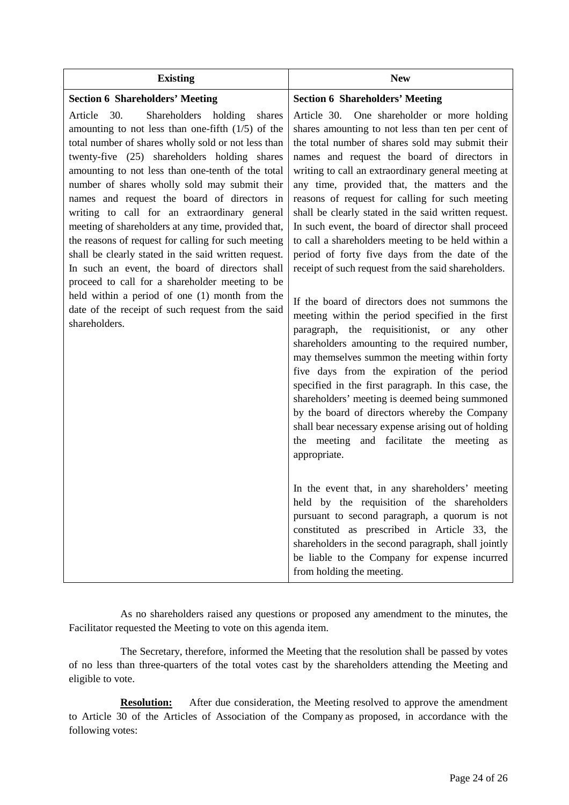| <b>Existing</b>                                                                                                                                                                                                                                                                                                                                                                                                                                                                                                                                                                                                                                                                                                                                                                                                           | <b>New</b>                                                                                                                                                                                                                                                                                                                                                                                                                                                                                                                                                                                                                                                                                                                                                                                                                                                                                                                                                                                                                                                                                                                                                             |
|---------------------------------------------------------------------------------------------------------------------------------------------------------------------------------------------------------------------------------------------------------------------------------------------------------------------------------------------------------------------------------------------------------------------------------------------------------------------------------------------------------------------------------------------------------------------------------------------------------------------------------------------------------------------------------------------------------------------------------------------------------------------------------------------------------------------------|------------------------------------------------------------------------------------------------------------------------------------------------------------------------------------------------------------------------------------------------------------------------------------------------------------------------------------------------------------------------------------------------------------------------------------------------------------------------------------------------------------------------------------------------------------------------------------------------------------------------------------------------------------------------------------------------------------------------------------------------------------------------------------------------------------------------------------------------------------------------------------------------------------------------------------------------------------------------------------------------------------------------------------------------------------------------------------------------------------------------------------------------------------------------|
| <b>Section 6 Shareholders' Meeting</b>                                                                                                                                                                                                                                                                                                                                                                                                                                                                                                                                                                                                                                                                                                                                                                                    | <b>Section 6 Shareholders' Meeting</b>                                                                                                                                                                                                                                                                                                                                                                                                                                                                                                                                                                                                                                                                                                                                                                                                                                                                                                                                                                                                                                                                                                                                 |
| 30.<br>Shareholders<br>Article<br>holding<br>shares<br>amounting to not less than one-fifth $(1/5)$ of the<br>total number of shares wholly sold or not less than<br>twenty-five (25) shareholders holding shares<br>amounting to not less than one-tenth of the total<br>number of shares wholly sold may submit their<br>names and request the board of directors in<br>writing to call for an extraordinary general<br>meeting of shareholders at any time, provided that,<br>the reasons of request for calling for such meeting<br>shall be clearly stated in the said written request.<br>In such an event, the board of directors shall<br>proceed to call for a shareholder meeting to be<br>held within a period of one (1) month from the<br>date of the receipt of such request from the said<br>shareholders. | One shareholder or more holding<br>Article 30.<br>shares amounting to not less than ten per cent of<br>the total number of shares sold may submit their<br>names and request the board of directors in<br>writing to call an extraordinary general meeting at<br>any time, provided that, the matters and the<br>reasons of request for calling for such meeting<br>shall be clearly stated in the said written request.<br>In such event, the board of director shall proceed<br>to call a shareholders meeting to be held within a<br>period of forty five days from the date of the<br>receipt of such request from the said shareholders.<br>If the board of directors does not summons the<br>meeting within the period specified in the first<br>paragraph, the requisitionist, or any other<br>shareholders amounting to the required number,<br>may themselves summon the meeting within forty<br>five days from the expiration of the period<br>specified in the first paragraph. In this case, the<br>shareholders' meeting is deemed being summoned<br>by the board of directors whereby the Company<br>shall bear necessary expense arising out of holding |
|                                                                                                                                                                                                                                                                                                                                                                                                                                                                                                                                                                                                                                                                                                                                                                                                                           | the meeting and facilitate the meeting as<br>appropriate.<br>In the event that, in any shareholders' meeting                                                                                                                                                                                                                                                                                                                                                                                                                                                                                                                                                                                                                                                                                                                                                                                                                                                                                                                                                                                                                                                           |
|                                                                                                                                                                                                                                                                                                                                                                                                                                                                                                                                                                                                                                                                                                                                                                                                                           | held by the requisition of the shareholders<br>pursuant to second paragraph, a quorum is not<br>constituted as prescribed in Article 33, the<br>shareholders in the second paragraph, shall jointly<br>be liable to the Company for expense incurred<br>from holding the meeting.                                                                                                                                                                                                                                                                                                                                                                                                                                                                                                                                                                                                                                                                                                                                                                                                                                                                                      |

As no shareholders raised any questions or proposed any amendment to the minutes, the Facilitator requested the Meeting to vote on this agenda item.

 The Secretary, therefore, informed the Meeting that the resolution shall be passed by votes of no less than three-quarters of the total votes cast by the shareholders attending the Meeting and eligible to vote.

**Resolution:** After due consideration, the Meeting resolved to approve the amendment to Article 30 of the Articles of Association of the Company as proposed, in accordance with the following votes: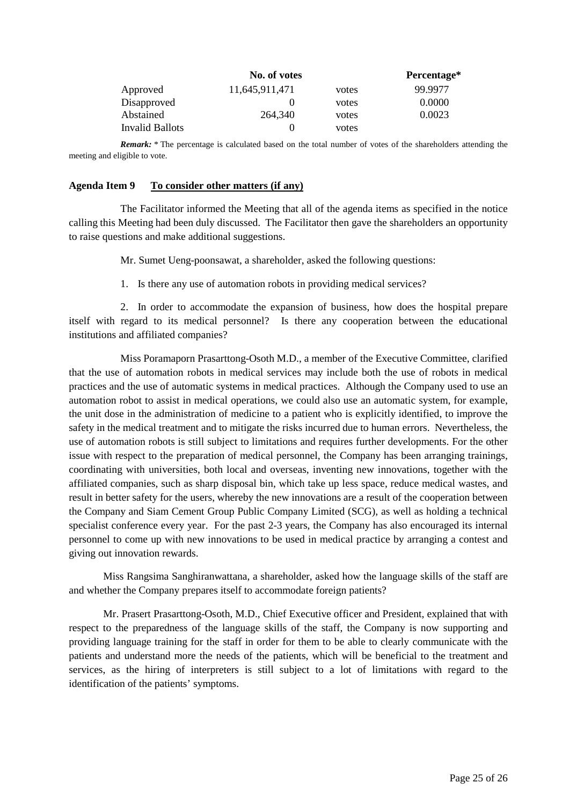|                        | No. of votes   |       | Percentage* |
|------------------------|----------------|-------|-------------|
| Approved               | 11,645,911,471 | votes | 99.9977     |
| Disapproved            |                | votes | 0.0000      |
| Abstained              | 264,340        | votes | 0.0023      |
| <b>Invalid Ballots</b> |                | votes |             |

*Remark:* \* The percentage is calculated based on the total number of votes of the shareholders attending the meeting and eligible to vote.

#### **Agenda Item 9 To consider other matters (if any)**

The Facilitator informed the Meeting that all of the agenda items as specified in the notice calling this Meeting had been duly discussed. The Facilitator then gave the shareholders an opportunity to raise questions and make additional suggestions.

Mr. Sumet Ueng-poonsawat, a shareholder, asked the following questions:

1. Is there any use of automation robots in providing medical services?

2. In order to accommodate the expansion of business, how does the hospital prepare itself with regard to its medical personnel? Is there any cooperation between the educational institutions and affiliated companies?

Miss Poramaporn Prasarttong-Osoth M.D., a member of the Executive Committee, clarified that the use of automation robots in medical services may include both the use of robots in medical practices and the use of automatic systems in medical practices. Although the Company used to use an automation robot to assist in medical operations, we could also use an automatic system, for example, the unit dose in the administration of medicine to a patient who is explicitly identified, to improve the safety in the medical treatment and to mitigate the risks incurred due to human errors. Nevertheless, the use of automation robots is still subject to limitations and requires further developments. For the other issue with respect to the preparation of medical personnel, the Company has been arranging trainings, coordinating with universities, both local and overseas, inventing new innovations, together with the affiliated companies, such as sharp disposal bin, which take up less space, reduce medical wastes, and result in better safety for the users, whereby the new innovations are a result of the cooperation between the Company and Siam Cement Group Public Company Limited (SCG), as well as holding a technical specialist conference every year. For the past 2-3 years, the Company has also encouraged its internal personnel to come up with new innovations to be used in medical practice by arranging a contest and giving out innovation rewards.

 Miss Rangsima Sanghiranwattana, a shareholder, asked how the language skills of the staff are and whether the Company prepares itself to accommodate foreign patients?

 Mr. Prasert Prasarttong-Osoth, M.D., Chief Executive officer and President, explained that with respect to the preparedness of the language skills of the staff, the Company is now supporting and providing language training for the staff in order for them to be able to clearly communicate with the patients and understand more the needs of the patients, which will be beneficial to the treatment and services, as the hiring of interpreters is still subject to a lot of limitations with regard to the identification of the patients' symptoms.